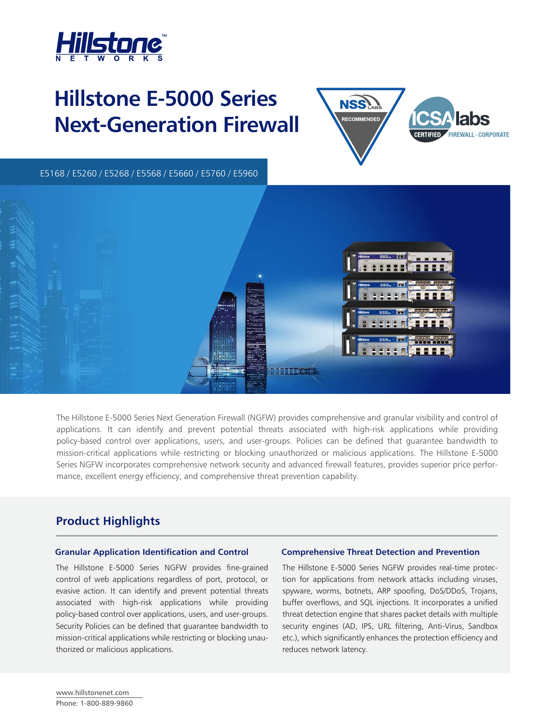

# **Hillstone E-5000 Series Next-Generation Firewall**



E5260 / E5660 / E5760 / E5960 E5168 / E5260 / E5268 / E5568 / E5660 / E5760 / E5960



The Hillstone E-5000 Series Next Generation Firewall (NGFW) provides comprehensive and granular visibility and control of applications. It can identify and prevent potential threats associated with high-risk applications while providing policy-based control over applications, users, and user-groups. Policies can be defined that guarantee bandwidth to mission-critical applications while restricting or blocking unauthorized or malicious applications. The Hillstone E-5000 Series NGFW incorporates comprehensive network security and advanced firewall features, provides superior price performance, excellent energy efficiency, and comprehensive threat prevention capability.

# **Product Highlights**

### **Granular Application Identification and Control Comprehensive Threat Detection and Prevention**

The Hillstone E-5000 Series NGFW provides fine-grained control of web applications regardless of port, protocol, or evasive action. It can identify and prevent potential threats associated with high-risk applications while providing policy-based control over applications, users, and user-groups. Security Policies can be defined that guarantee bandwidth to mission-critical applications while restricting or blocking unauthorized or malicious applications.

The Hillstone E-5000 Series NGFW provides real-time protection for applications from network attacks including viruses, spyware, worms, botnets, ARP spoofing, DoS/DDoS, Trojans, buffer overflows, and SQL injections. It incorporates a unified threat detection engine that shares packet details with multiple security engines (AD, IPS, URL filtering, Anti-Virus, Sandbox etc.), which significantly enhances the protection efficiency and reduces network latency.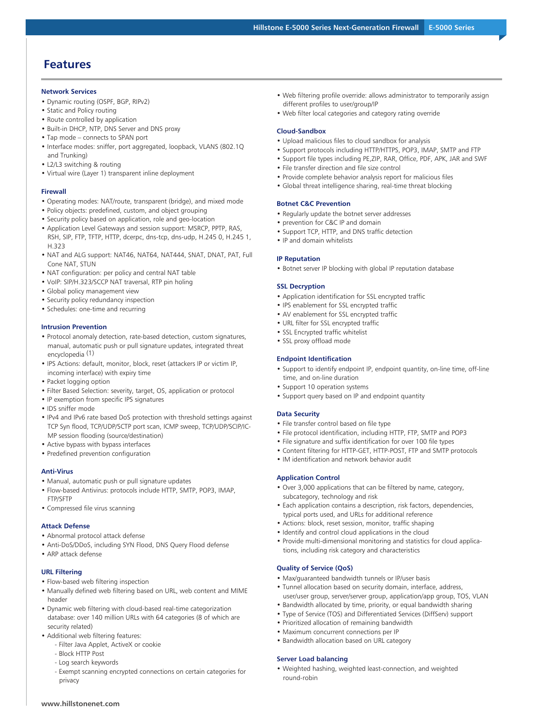# **Features**

#### **Network Services**

- Dynamic routing (OSPF, BGP, RIPv2)
- Static and Policy routing
- Route controlled by application
- Built-in DHCP, NTP, DNS Server and DNS proxy
- Tap mode connects to SPAN port
- Interface modes: sniffer, port aggregated, loopback, VLANS (802.1Q and Trunking)
- L2/L3 switching & routing
- Virtual wire (Layer 1) transparent inline deployment

#### **Firewall**

- Operating modes: NAT/route, transparent (bridge), and mixed mode
- Policy objects: predefined, custom, and object grouping
- Security policy based on application, role and geo-location
- Application Level Gateways and session support: MSRCP, PPTP, RAS, RSH, SIP, FTP, TFTP, HTTP, dcerpc, dns-tcp, dns-udp, H.245 0, H.245 1, H.323
- NAT and ALG support: NAT46, NAT64, NAT444, SNAT, DNAT, PAT, Full Cone NAT, STUN
- NAT configuration: per policy and central NAT table
- VoIP: SIP/H.323/SCCP NAT traversal, RTP pin holing
- Global policy management view
- Security policy redundancy inspection
- Schedules: one-time and recurring

#### **Intrusion Prevention**

- Protocol anomaly detection, rate-based detection, custom signatures, manual, automatic push or pull signature updates, integrated threat encyclopedia (1)
- IPS Actions: default, monitor, block, reset (attackers IP or victim IP, incoming interface) with expiry time
- Packet logging option
- Filter Based Selection: severity, target, OS, application or protocol
- IP exemption from specific IPS signatures
- IDS sniffer mode
- IPv4 and IPv6 rate based DoS protection with threshold settings against TCP Syn flood, TCP/UDP/SCTP port scan, ICMP sweep, TCP/UDP/SCIP/IC-MP session flooding (source/destination)
- Active bypass with bypass interfaces
- Predefined prevention configuration

#### **Anti-Virus**

- Manual, automatic push or pull signature updates
- Flow-based Antivirus: protocols include HTTP, SMTP, POP3, IMAP, FTP/SFTP
- Compressed file virus scanning

#### **Attack Defense**

- Abnormal protocol attack defense
- Anti-DoS/DDoS, including SYN Flood, DNS Query Flood defense
- ARP attack defense

#### **URL Filtering**

- Flow-based web filtering inspection
- Manually defined web filtering based on URL, web content and MIME header
- Dynamic web filtering with cloud-based real-time categorization database: over 140 million URLs with 64 categories (8 of which are security related)
- Additional web filtering features:
	- Filter Java Applet, ActiveX or cookie
	- Block HTTP Post
	- Log search keywords
	- Exempt scanning encrypted connections on certain categories for privacy
- Web filtering profile override: allows administrator to temporarily assign different profiles to user/group/IP
- Web filter local categories and category rating override

#### **Cloud-Sandbox**

- Upload malicious files to cloud sandbox for analysis
- Support protocols including HTTP/HTTPS, POP3, IMAP, SMTP and FTP
- Support file types including PE,ZIP, RAR, Office, PDF, APK, JAR and SWF
- File transfer direction and file size control
- Provide complete behavior analysis report for malicious files
- Global threat intelligence sharing, real-time threat blocking

#### **Botnet C&C Prevention**

- Regularly update the botnet server addresses
- prevention for C&C IP and domain
- Support TCP, HTTP, and DNS traffic detection
- IP and domain whitelists

#### **IP Reputation**

• Botnet server IP blocking with global IP reputation database

#### **SSL Decryption**

- Application identification for SSL encrypted traffic
- IPS enablement for SSL encrypted traffic
- AV enablement for SSL encrypted traffic
- URL filter for SSL encrypted traffic
- SSL Encrypted traffic whitelist
- SSL proxy offload mode

#### **Endpoint Identification**

- Support to identify endpoint IP, endpoint quantity, on-line time, off-line time, and on-line duration
- Support 10 operation systems
- Support query based on IP and endpoint quantity

#### **Data Security**

- File transfer control based on file type
- File protocol identification, including HTTP, FTP, SMTP and POP3
- File signature and suffix identification for over 100 file types
- Content filtering for HTTP-GET, HTTP-POST, FTP and SMTP protocols
- IM identification and network behavior audit

#### **Application Control**

- Over 3,000 applications that can be filtered by name, category, subcategory, technology and risk
- Each application contains a description, risk factors, dependencies, typical ports used, and URLs for additional reference
- Actions: block, reset session, monitor, traffic shaping
- Identify and control cloud applications in the cloud
- Provide multi-dimensional monitoring and statistics for cloud applications, including risk category and characteristics

#### **Quality of Service (QoS)**

- Max/guaranteed bandwidth tunnels or IP/user basis
- Tunnel allocation based on security domain, interface, address, user/user group, server/server group, application/app group, TOS, VLAN
- Bandwidth allocated by time, priority, or equal bandwidth sharing
- Type of Service (TOS) and Differentiated Services (DiffServ) support
- Prioritized allocation of remaining bandwidth • Maximum concurrent connections per IP
- Bandwidth allocation based on URL category

#### **Server Load balancing**

• Weighted hashing, weighted least-connection, and weighted round-robin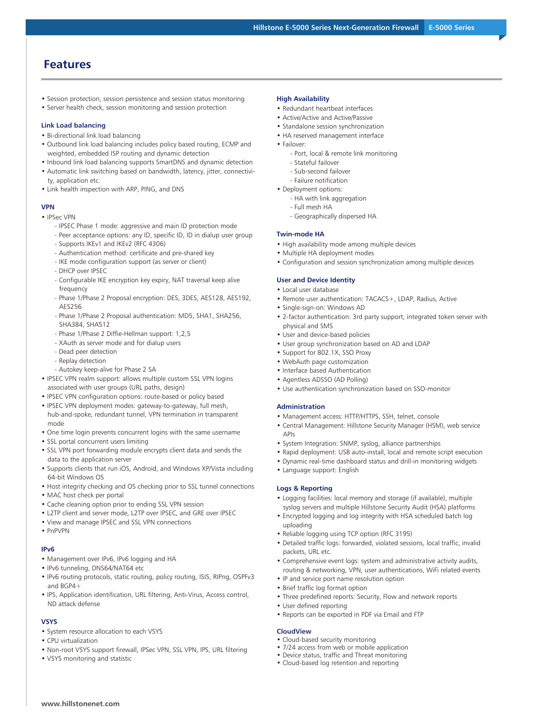# **Features**

- Session protection, session persistence and session status monitoring
- Server health check, session monitoring and session protection

#### **Link Load balancing**

- Bi-directional link load balancing
- Outbound link load balancing includes policy based routing, ECMP and weighted, embedded ISP routing and dynamic detection
- Inbound link load balancing supports SmartDNS and dynamic detection • Automatic link switching based on bandwidth, latency, jitter, connectivi-
- ty, application etc.
- Link health inspection with ARP, PING, and DNS

#### **VPN**

- IPSec VPN
	- IPSEC Phase 1 mode: aggressive and main ID protection mode
	- Peer acceptance options: any ID, specific ID, ID in dialup user group
	- Supports IKEv1 and IKEv2 (RFC 4306)
	- Authentication method: certificate and pre-shared key
	- IKE mode configuration support (as server or client)
	- DHCP over IPSEC
	- Configurable IKE encryption key expiry, NAT traversal keep alive frequency
	- Phase 1/Phase 2 Proposal encryption: DES, 3DES, AES128, AES192, AES256
	- Phase 1/Phase 2 Proposal authentication: MD5, SHA1, SHA256, SHA384, SHA512
	- Phase 1/Phase 2 Diffie-Hellman support: 1,2,5
	- XAuth as server mode and for dialup users
	- Dead peer detection
	- Replay detection
	- Autokey keep-alive for Phase 2 SA
- IPSEC VPN realm support: allows multiple custom SSL VPN logins associated with user groups (URL paths, design)
- IPSEC VPN configuration options: route-based or policy based
- IPSEC VPN deployment modes: gateway-to-gateway, full mesh, hub-and-spoke, redundant tunnel, VPN termination in transparent mode
- One time login prevents concurrent logins with the same username
- SSL portal concurrent users limiting
- SSL VPN port forwarding module encrypts client data and sends the data to the application server
- Supports clients that run iOS, Android, and Windows XP/Vista including 64-bit Windows OS
- Host integrity checking and OS checking prior to SSL tunnel connections
- MAC host check per portal
- Cache cleaning option prior to ending SSL VPN session
- L2TP client and server mode, L2TP over IPSEC, and GRE over IPSEC
- View and manage IPSEC and SSL VPN connections
- PnPVPN

#### **IPv6**

- Management over IPv6, IPv6 logging and HA
- IPv6 tunneling, DNS64/NAT64 etc
- IPv6 routing protocols, static routing, policy routing, ISIS, RIPng, OSPFv3 and BGP4+
- IPS, Application identification, URL filtering, Anti-Virus, Access control, ND attack defense

#### **VSYS**

- System resource allocation to each VSYS
- CPU virtualization
- Non-root VSYS support firewall, IPSec VPN, SSL VPN, IPS, URL filtering
- VSYS monitoring and statistic

**www.hillstonenet.com**

#### **High Availability**

- Redundant heartbeat interfaces
- Active/Active and Active/Passive
- Standalone session synchronization
- HA reserved management interface
- Failover:
	- Port, local & remote link monitoring - Stateful failover
	- Sub-second failover
	- Failure notification

• Deployment options:

- 
- HA with link aggregation - Full mesh HA
- Geographically dispersed HA

#### **Twin-mode HA**

- High availability mode among multiple devices
- Multiple HA deployment modes
- Configuration and session synchronization among multiple devices

#### **User and Device Identity**

- Local user database
- Remote user authentication: TACACS+, LDAP, Radius, Active
- Single-sign-on: Windows AD
- 2-factor authentication: 3rd party support, integrated token server with physical and SMS
- User and device-based policies
- User group synchronization based on AD and LDAP
- Support for 802.1X, SSO Proxy
- WebAuth page customization
- Interface based Authentication
- Agentless ADSSO (AD Polling)
- Use authentication synchronization based on SSO-monitor

#### **Administration**

- Management access: HTTP/HTTPS, SSH, telnet, console
- Central Management: Hillstone Security Manager (HSM), web service APIs
- System Integration: SNMP, syslog, alliance partnerships
- Rapid deployment: USB auto-install, local and remote script execution
- Dynamic real-time dashboard status and drill-in monitoring widgets
- Language support: English

#### **Logs & Reporting**

- Logging facilities: local memory and storage (if available), multiple syslog servers and multiple Hillstone Security Audit (HSA) platforms
- Encrypted logging and log integrity with HSA scheduled batch log uploading
- Reliable logging using TCP option (RFC 3195)
- Detailed traffic logs: forwarded, violated sessions, local traffic, invalid packets, URL etc.
- Comprehensive event logs: system and administrative activity audits, routing & networking, VPN, user authentications, WiFi related events
- IP and service port name resolution option
- Brief traffic log format option
- Three predefined reports: Security, Flow and network reports
- User defined reporting
- Reports can be exported in PDF via Email and FTP

#### **CloudView**

- Cloud-based security monitoring
- 7/24 access from web or mobile application
- Device status, traffic and Threat monitoring • Cloud-based log retention and reporting